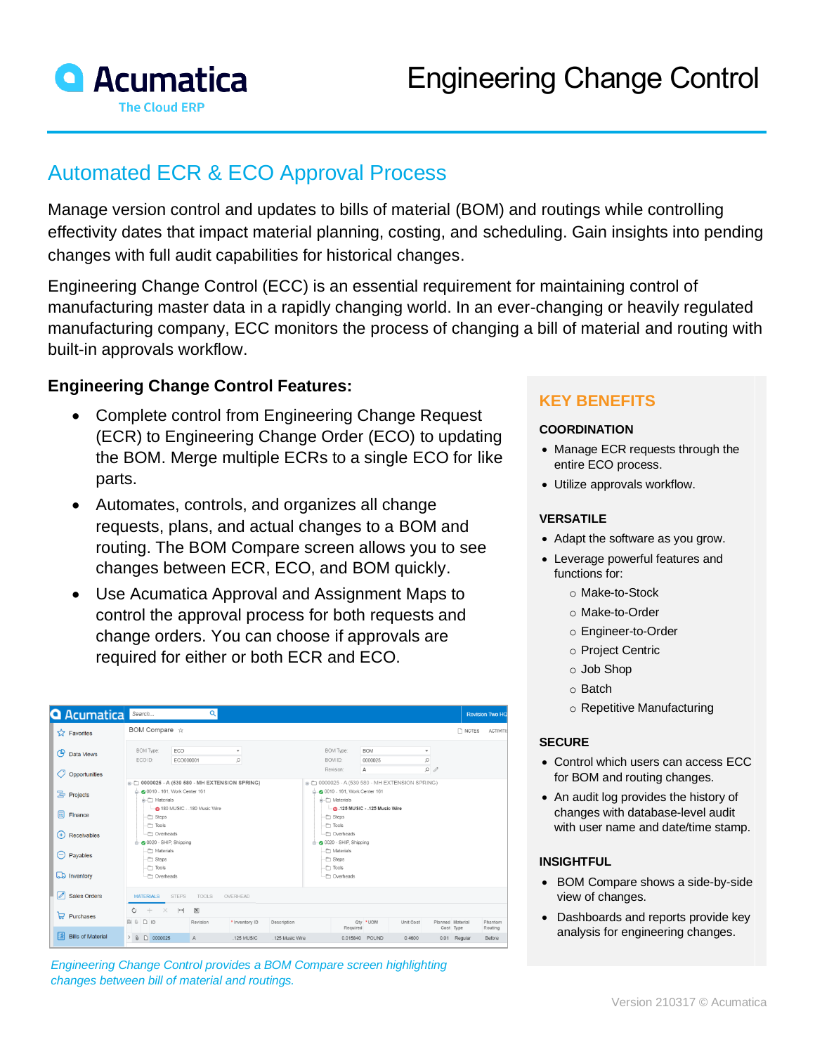

# Automated ECR & ECO Approval Process

Manage version control and updates to bills of material (BOM) and routings while controlling effectivity dates that impact material planning, costing, and scheduling. Gain insights into pending changes with full audit capabilities for historical changes.

Engineering Change Control (ECC) is an essential requirement for maintaining control of manufacturing master data in a rapidly changing world. In an ever-changing or heavily regulated manufacturing company, ECC monitors the process of changing a bill of material and routing with built-in approvals workflow.

## **Engineering Change Control Features:**

- Complete control from Engineering Change Request (ECR) to Engineering Change Order (ECO) to updating the BOM. Merge multiple ECRs to a single ECO for like parts.
- Automates, controls, and organizes all change requests, plans, and actual changes to a BOM and routing. The BOM Compare screen allows you to see changes between ECR, ECO, and BOM quickly.
- Use Acumatica Approval and Assignment Maps to control the approval process for both requests and change orders. You can choose if approvals are required for either or both ECR and ECO.

| <b>Q</b> Acumatica                     | Q<br>Search                                                                                                                                              | <b>Revision Two HQ</b>                                                                                    |
|----------------------------------------|----------------------------------------------------------------------------------------------------------------------------------------------------------|-----------------------------------------------------------------------------------------------------------|
| Favorites                              | BOM Compare $\dot{\varphi}$                                                                                                                              | R NOTES<br><b>ACTIVITIE</b>                                                                               |
| ඏ<br>Data Views<br>7)<br>Opportunities | BOM Type:<br>ECO<br>$\;$<br>Ω<br>ECO ID:<br>ECO000001                                                                                                    | <b>BOM Type:</b><br><b>BOM</b><br>٠<br>0000025<br>Ω<br>BOM ID:<br>$\rho$<br>Revision:<br>A                |
| 름 Projects                             | R- <sup>2</sup> 0000025 - A (539 580 - MH EXTENSION SPRING)<br>0010 - 161. Work Center 161<br>- Materials                                                | R-← 0000025 - A (539 580 - MH EXTENSION SPRING)<br>0010 - 161. Work Center 161<br>$\Rightarrow$ Materials |
| 氚<br>Finance<br>$^{(+)}$               | - @ 180 MUSIC - .180 Music Wire<br>- <sup>1</sup> Steps<br>-C Tools<br>Overheads                                                                         | - @ .125 MUSIC - .125 Music Wire<br>- <sup>1</sup> Steps<br>$\neg$ Tools<br>Overheads                     |
| Receivables<br>$\Theta$<br>Payables    | O 0020 - SHIP, Shipping<br>-C Materials<br>-C Steps                                                                                                      | O020 - SHIP, Shipping<br>Materials<br>- <sup>m</sup> Steps                                                |
| <b>La</b> Inventory                    | -m Tools<br>- Overheads                                                                                                                                  | Tools<br>- Overheads                                                                                      |
| ⇗<br><b>Sales Orders</b>               | <b>MATERIALS</b><br>OVERHEAD<br><b>STEPS</b><br>TOOLS                                                                                                    |                                                                                                           |
| $\Box$ Purchases                       | $\circ$<br>$+$<br>$\left\vert \rightarrow\right\vert$<br>$\overline{\mathbf{x}}$<br>$\times$<br><b>BBDD</b><br>Revision<br>* Inventory ID<br>Description | Qty * UOM<br>Unit Cost<br>Planned Material<br>Phantom                                                     |
| li≶l<br><b>Bills of Material</b>       | $\geq 0$ 0000025<br>$\overline{A}$<br>.125 MUSIC<br>.125 Music Wire                                                                                      | Required<br>Cost Type<br>Routing<br>0.015840 POUND<br>0.4600<br>0.01 Regular<br>Before                    |

*Engineering Change Control provides a BOM Compare screen highlighting changes between bill of material and routings.*

## **KEY BENEFITS**

#### **COORDINATION**

- Manage ECR requests through the entire ECO process.
- Utilize approvals workflow.

#### **VERSATILE**

- Adapt the software as you grow.
- Leverage powerful features and functions for:
	- o Make-to-Stock
	- o Make-to-Order
	- o Engineer-to-Order
	- o Project Centric
	- o Job Shop
	- o Batch
	- o Repetitive Manufacturing

#### **SECURE**

- Control which users can access ECC for BOM and routing changes.
- An audit log provides the history of changes with database-level audit with user name and date/time stamp.

#### **INSIGHTFUL**

- BOM Compare shows a side-by-side view of changes.
- Dashboards and reports provide key analysis for engineering changes.